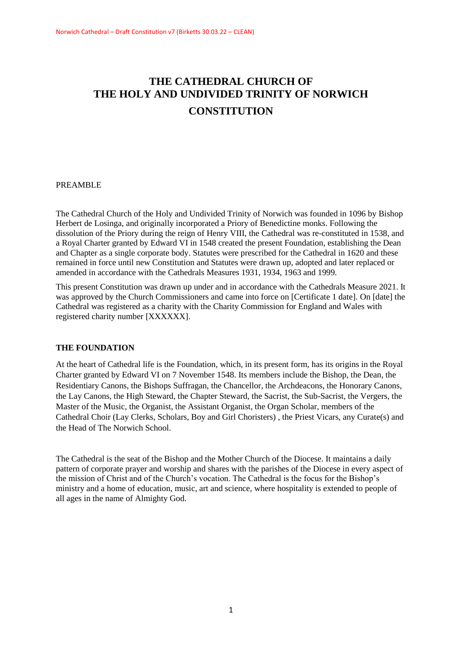# **THE CATHEDRAL CHURCH OF THE HOLY AND UNDIVIDED TRINITY OF NORWICH CONSTITUTION**

# PREAMBLE

The Cathedral Church of the Holy and Undivided Trinity of Norwich was founded in 1096 by Bishop Herbert de Losinga, and originally incorporated a Priory of Benedictine monks. Following the dissolution of the Priory during the reign of Henry VIII, the Cathedral was re-constituted in 1538, and a Royal Charter granted by Edward VI in 1548 created the present Foundation, establishing the Dean and Chapter as a single corporate body. Statutes were prescribed for the Cathedral in 1620 and these remained in force until new Constitution and Statutes were drawn up, adopted and later replaced or amended in accordance with the Cathedrals Measures 1931, 1934, 1963 and 1999.

This present Constitution was drawn up under and in accordance with the Cathedrals Measure 2021. It was approved by the Church Commissioners and came into force on [Certificate 1 date]. On [date] the Cathedral was registered as a charity with the Charity Commission for England and Wales with registered charity number [XXXXXX].

### **THE FOUNDATION**

At the heart of Cathedral life is the Foundation, which, in its present form, has its origins in the Royal Charter granted by Edward VI on 7 November 1548. Its members include the Bishop, the Dean, the Residentiary Canons, the Bishops Suffragan, the Chancellor, the Archdeacons, the Honorary Canons, the Lay Canons, the High Steward, the Chapter Steward, the Sacrist, the Sub-Sacrist, the Vergers, the Master of the Music, the Organist, the Assistant Organist, the Organ Scholar, members of the Cathedral Choir (Lay Clerks, Scholars, Boy and Girl Choristers) , the Priest Vicars, any Curate(s) and the Head of The Norwich School.

The Cathedral is the seat of the Bishop and the Mother Church of the Diocese. It maintains a daily pattern of corporate prayer and worship and shares with the parishes of the Diocese in every aspect of the mission of Christ and of the Church's vocation. The Cathedral is the focus for the Bishop's ministry and a home of education, music, art and science, where hospitality is extended to people of all ages in the name of Almighty God.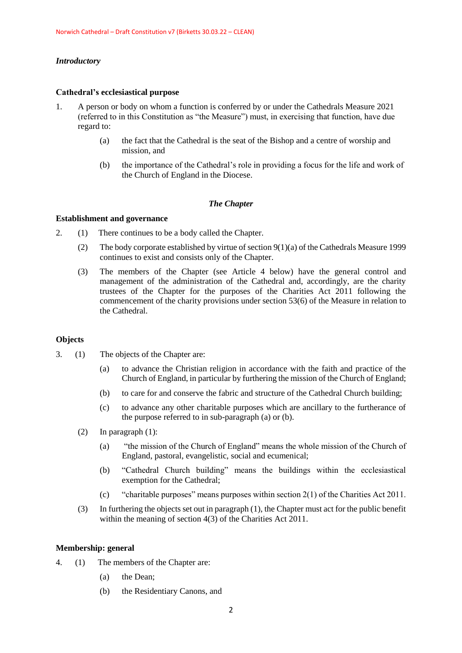### *Introductory*

#### **Cathedral's ecclesiastical purpose**

- 1. A person or body on whom a function is conferred by or under the Cathedrals Measure 2021 (referred to in this Constitution as "the Measure") must, in exercising that function, have due regard to:
	- (a) the fact that the Cathedral is the seat of the Bishop and a centre of worship and mission, and
	- (b) the importance of the Cathedral's role in providing a focus for the life and work of the Church of England in the Diocese.

### *The Chapter*

### **Establishment and governance**

- 2. (1) There continues to be a body called the Chapter.
	- (2) The body corporate established by virtue of section  $9(1)(a)$  of the Cathedrals Measure 1999 continues to exist and consists only of the Chapter.
	- (3) The members of the Chapter (see Article 4 below) have the general control and management of the administration of the Cathedral and, accordingly, are the charity trustees of the Chapter for the purposes of the Charities Act 2011 following the commencement of the charity provisions under section 53(6) of the Measure in relation to the Cathedral.

### **Objects**

- 3. (1) The objects of the Chapter are:
	- (a) to advance the Christian religion in accordance with the faith and practice of the Church of England, in particular by furthering the mission of the Church of England;
	- (b) to care for and conserve the fabric and structure of the Cathedral Church building;
	- (c) to advance any other charitable purposes which are ancillary to the furtherance of the purpose referred to in sub-paragraph (a) or (b).
	- (2) In paragraph (1):
		- (a) "the mission of the Church of England" means the whole mission of the Church of England, pastoral, evangelistic, social and ecumenical;
		- (b) "Cathedral Church building" means the buildings within the ecclesiastical exemption for the Cathedral;
		- (c) "charitable purposes" means purposes within section 2(1) of the Charities Act 2011.
	- (3) In furthering the objects set out in paragraph (1), the Chapter must act for the public benefit within the meaning of section 4(3) of the Charities Act 2011.

#### **Membership: general**

- 4. (1) The members of the Chapter are:
	- (a) the Dean;
	- (b) the Residentiary Canons, and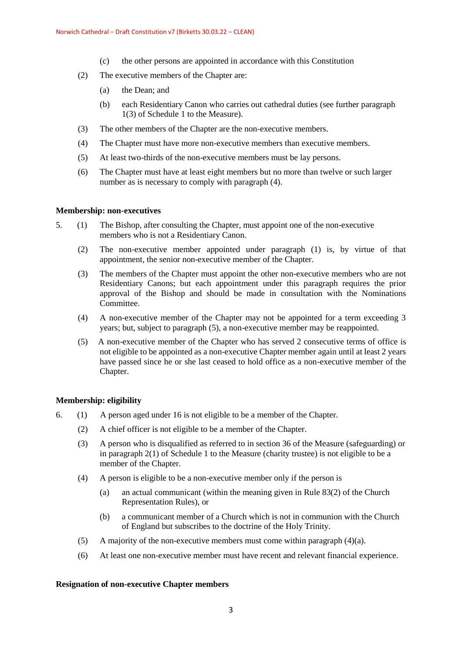- (c) the other persons are appointed in accordance with this Constitution
- (2) The executive members of the Chapter are:
	- (a) the Dean; and
	- (b) each Residentiary Canon who carries out cathedral duties (see further paragraph 1(3) of Schedule 1 to the Measure).
- (3) The other members of the Chapter are the non-executive members.
- (4) The Chapter must have more non-executive members than executive members.
- (5) At least two-thirds of the non-executive members must be lay persons.
- (6) The Chapter must have at least eight members but no more than twelve or such larger number as is necessary to comply with paragraph (4).

### **Membership: non-executives**

- 5. (1) The Bishop, after consulting the Chapter, must appoint one of the non-executive members who is not a Residentiary Canon.
	- (2) The non-executive member appointed under paragraph (1) is, by virtue of that appointment, the senior non-executive member of the Chapter.
	- (3) The members of the Chapter must appoint the other non-executive members who are not Residentiary Canons; but each appointment under this paragraph requires the prior approval of the Bishop and should be made in consultation with the Nominations Committee.
	- (4) A non-executive member of the Chapter may not be appointed for a term exceeding 3 years; but, subject to paragraph (5), a non-executive member may be reappointed.
	- (5) A non-executive member of the Chapter who has served 2 consecutive terms of office is not eligible to be appointed as a non-executive Chapter member again until at least 2 years have passed since he or she last ceased to hold office as a non-executive member of the Chapter.

# **Membership: eligibility**

- 6. (1) A person aged under 16 is not eligible to be a member of the Chapter.
	- (2) A chief officer is not eligible to be a member of the Chapter.
	- (3) A person who is disqualified as referred to in section 36 of the Measure (safeguarding) or in paragraph 2(1) of Schedule 1 to the Measure (charity trustee) is not eligible to be a member of the Chapter.
	- (4) A person is eligible to be a non-executive member only if the person is
		- (a) an actual communicant (within the meaning given in Rule 83(2) of the Church Representation Rules), or
		- (b) a communicant member of a Church which is not in communion with the Church of England but subscribes to the doctrine of the Holy Trinity.
	- (5) A majority of the non-executive members must come within paragraph  $(4)(a)$ .
	- (6) At least one non-executive member must have recent and relevant financial experience.

### **Resignation of non-executive Chapter members**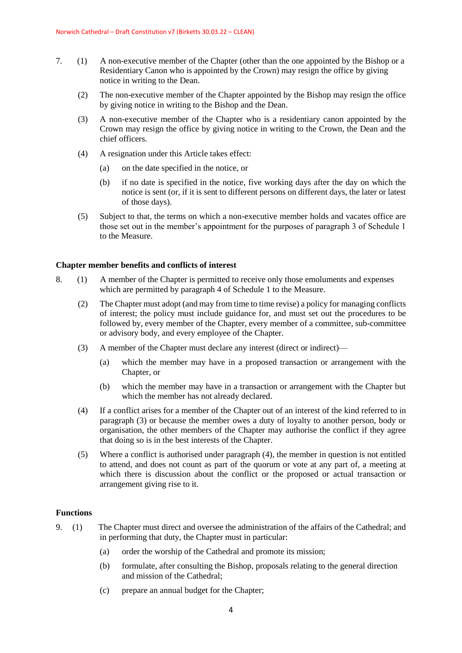- 7. (1) A non-executive member of the Chapter (other than the one appointed by the Bishop or a Residentiary Canon who is appointed by the Crown) may resign the office by giving notice in writing to the Dean.
	- (2) The non-executive member of the Chapter appointed by the Bishop may resign the office by giving notice in writing to the Bishop and the Dean.
	- (3) A non-executive member of the Chapter who is a residentiary canon appointed by the Crown may resign the office by giving notice in writing to the Crown, the Dean and the chief officers.
	- (4) A resignation under this Article takes effect:
		- (a) on the date specified in the notice, or
		- (b) if no date is specified in the notice, five working days after the day on which the notice is sent (or, if it is sent to different persons on different days, the later or latest of those days).
	- (5) Subject to that, the terms on which a non-executive member holds and vacates office are those set out in the member's appointment for the purposes of paragraph 3 of Schedule 1 to the Measure.

#### **Chapter member benefits and conflicts of interest**

- 8. (1) A member of the Chapter is permitted to receive only those emoluments and expenses which are permitted by paragraph 4 of Schedule 1 to the Measure.
	- (2) The Chapter must adopt (and may from time to time revise) a policy for managing conflicts of interest; the policy must include guidance for, and must set out the procedures to be followed by, every member of the Chapter, every member of a committee, sub-committee or advisory body, and every employee of the Chapter.
	- (3) A member of the Chapter must declare any interest (direct or indirect)—
		- (a) which the member may have in a proposed transaction or arrangement with the Chapter, or
		- (b) which the member may have in a transaction or arrangement with the Chapter but which the member has not already declared.
	- (4) If a conflict arises for a member of the Chapter out of an interest of the kind referred to in paragraph (3) or because the member owes a duty of loyalty to another person, body or organisation, the other members of the Chapter may authorise the conflict if they agree that doing so is in the best interests of the Chapter.
	- (5) Where a conflict is authorised under paragraph (4), the member in question is not entitled to attend, and does not count as part of the quorum or vote at any part of, a meeting at which there is discussion about the conflict or the proposed or actual transaction or arrangement giving rise to it.

### **Functions**

- 9. (1) The Chapter must direct and oversee the administration of the affairs of the Cathedral; and in performing that duty, the Chapter must in particular:
	- (a) order the worship of the Cathedral and promote its mission;
	- (b) formulate, after consulting the Bishop, proposals relating to the general direction and mission of the Cathedral;
	- (c) prepare an annual budget for the Chapter;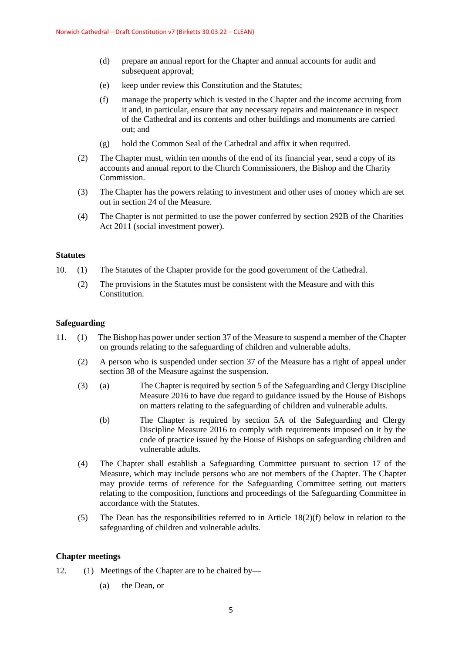- (d) prepare an annual report for the Chapter and annual accounts for audit and subsequent approval;
- (e) keep under review this Constitution and the Statutes;
- (f) manage the property which is vested in the Chapter and the income accruing from it and, in particular, ensure that any necessary repairs and maintenance in respect of the Cathedral and its contents and other buildings and monuments are carried out; and
- (g) hold the Common Seal of the Cathedral and affix it when required.
- (2) The Chapter must, within ten months of the end of its financial year, send a copy of its accounts and annual report to the Church Commissioners, the Bishop and the Charity Commission.
- (3) The Chapter has the powers relating to investment and other uses of money which are set out in section 24 of the Measure.
- (4) The Chapter is not permitted to use the power conferred by section 292B of the Charities Act 2011 (social investment power).

#### **Statutes**

- 10. (1) The Statutes of the Chapter provide for the good government of the Cathedral.
	- (2) The provisions in the Statutes must be consistent with the Measure and with this Constitution.

#### **Safeguarding**

- 11. (1) The Bishop has power under section 37 of the Measure to suspend a member of the Chapter on grounds relating to the safeguarding of children and vulnerable adults.
	- (2) A person who is suspended under section 37 of the Measure has a right of appeal under section 38 of the Measure against the suspension.
	- (3) (a) The Chapter is required by section 5 of the Safeguarding and Clergy Discipline Measure 2016 to have due regard to guidance issued by the House of Bishops on matters relating to the safeguarding of children and vulnerable adults.
		- (b) The Chapter is required by section 5A of the Safeguarding and Clergy Discipline Measure 2016 to comply with requirements imposed on it by the code of practice issued by the House of Bishops on safeguarding children and vulnerable adults.
	- (4) The Chapter shall establish a Safeguarding Committee pursuant to section 17 of the Measure, which may include persons who are not members of the Chapter. The Chapter may provide terms of reference for the Safeguarding Committee setting out matters relating to the composition, functions and proceedings of the Safeguarding Committee in accordance with the Statutes.
	- (5) The Dean has the responsibilities referred to in Article  $18(2)(f)$  below in relation to the safeguarding of children and vulnerable adults.

#### **Chapter meetings**

- 12. (1) Meetings of the Chapter are to be chaired by—
	- (a) the Dean, or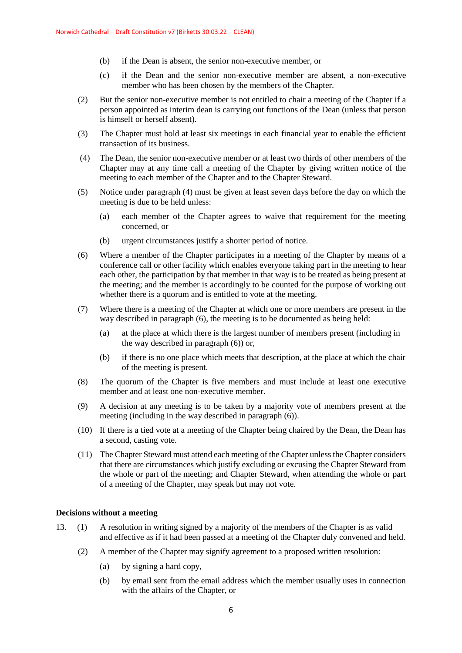- (b) if the Dean is absent, the senior non-executive member, or
- (c) if the Dean and the senior non-executive member are absent, a non-executive member who has been chosen by the members of the Chapter.
- (2) But the senior non-executive member is not entitled to chair a meeting of the Chapter if a person appointed as interim dean is carrying out functions of the Dean (unless that person is himself or herself absent).
- (3) The Chapter must hold at least six meetings in each financial year to enable the efficient transaction of its business.
- (4) The Dean, the senior non-executive member or at least two thirds of other members of the Chapter may at any time call a meeting of the Chapter by giving written notice of the meeting to each member of the Chapter and to the Chapter Steward.
- (5) Notice under paragraph (4) must be given at least seven days before the day on which the meeting is due to be held unless:
	- (a) each member of the Chapter agrees to waive that requirement for the meeting concerned, or
	- (b) urgent circumstances justify a shorter period of notice.
- (6) Where a member of the Chapter participates in a meeting of the Chapter by means of a conference call or other facility which enables everyone taking part in the meeting to hear each other, the participation by that member in that way is to be treated as being present at the meeting; and the member is accordingly to be counted for the purpose of working out whether there is a quorum and is entitled to vote at the meeting.
- (7) Where there is a meeting of the Chapter at which one or more members are present in the way described in paragraph (6), the meeting is to be documented as being held:
	- (a) at the place at which there is the largest number of members present (including in the way described in paragraph (6)) or,
	- (b) if there is no one place which meets that description, at the place at which the chair of the meeting is present.
- (8) The quorum of the Chapter is five members and must include at least one executive member and at least one non-executive member.
- (9) A decision at any meeting is to be taken by a majority vote of members present at the meeting (including in the way described in paragraph (6)).
- (10) If there is a tied vote at a meeting of the Chapter being chaired by the Dean, the Dean has a second, casting vote.
- (11) The Chapter Steward must attend each meeting of the Chapter unless the Chapter considers that there are circumstances which justify excluding or excusing the Chapter Steward from the whole or part of the meeting; and Chapter Steward, when attending the whole or part of a meeting of the Chapter, may speak but may not vote.

### **Decisions without a meeting**

- 13. (1) A resolution in writing signed by a majority of the members of the Chapter is as valid and effective as if it had been passed at a meeting of the Chapter duly convened and held.
	- (2) A member of the Chapter may signify agreement to a proposed written resolution:
		- (a) by signing a hard copy,
		- (b) by email sent from the email address which the member usually uses in connection with the affairs of the Chapter, or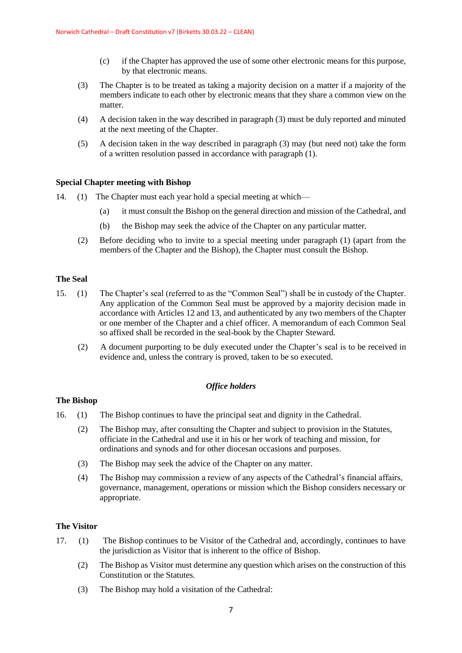- (c) if the Chapter has approved the use of some other electronic means for this purpose, by that electronic means.
- (3) The Chapter is to be treated as taking a majority decision on a matter if a majority of the members indicate to each other by electronic means that they share a common view on the matter.
- (4) A decision taken in the way described in paragraph (3) must be duly reported and minuted at the next meeting of the Chapter.
- (5) A decision taken in the way described in paragraph (3) may (but need not) take the form of a written resolution passed in accordance with paragraph (1).

### **Special Chapter meeting with Bishop**

- 14. (1) The Chapter must each year hold a special meeting at which—
	- (a) it must consult the Bishop on the general direction and mission of the Cathedral, and
	- (b) the Bishop may seek the advice of the Chapter on any particular matter.
	- (2) Before deciding who to invite to a special meeting under paragraph (1) (apart from the members of the Chapter and the Bishop), the Chapter must consult the Bishop.

### **The Seal**

- 15. (1) The Chapter's seal (referred to as the "Common Seal") shall be in custody of the Chapter. Any application of the Common Seal must be approved by a majority decision made in accordance with Articles 12 and 13, and authenticated by any two members of the Chapter or one member of the Chapter and a chief officer. A memorandum of each Common Seal so affixed shall be recorded in the seal-book by the Chapter Steward.
	- (2) A document purporting to be duly executed under the Chapter's seal is to be received in evidence and, unless the contrary is proved, taken to be so executed.

# *Office holders*

### **The Bishop**

- 16. (1) The Bishop continues to have the principal seat and dignity in the Cathedral.
	- (2) The Bishop may, after consulting the Chapter and subject to provision in the Statutes, officiate in the Cathedral and use it in his or her work of teaching and mission, for ordinations and synods and for other diocesan occasions and purposes.
	- (3) The Bishop may seek the advice of the Chapter on any matter.
	- (4) The Bishop may commission a review of any aspects of the Cathedral's financial affairs, governance, management, operations or mission which the Bishop considers necessary or appropriate.

### **The Visitor**

- 17. (1) The Bishop continues to be Visitor of the Cathedral and, accordingly, continues to have the jurisdiction as Visitor that is inherent to the office of Bishop.
	- (2) The Bishop as Visitor must determine any question which arises on the construction of this Constitution or the Statutes.
	- (3) The Bishop may hold a visitation of the Cathedral: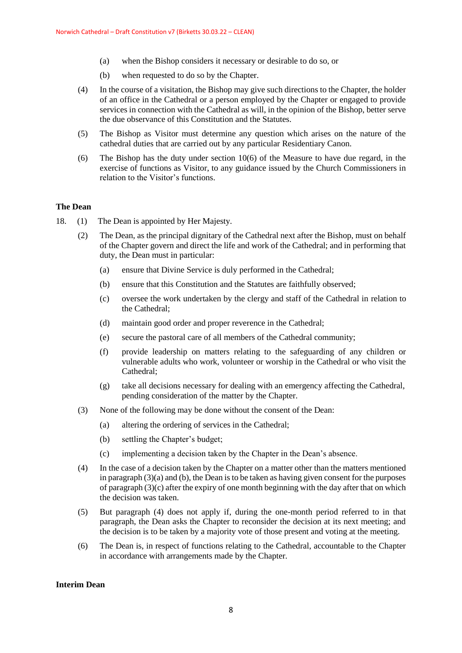- (a) when the Bishop considers it necessary or desirable to do so, or
- (b) when requested to do so by the Chapter.
- (4) In the course of a visitation, the Bishop may give such directions to the Chapter, the holder of an office in the Cathedral or a person employed by the Chapter or engaged to provide services in connection with the Cathedral as will, in the opinion of the Bishop, better serve the due observance of this Constitution and the Statutes.
- (5) The Bishop as Visitor must determine any question which arises on the nature of the cathedral duties that are carried out by any particular Residentiary Canon.
- (6) The Bishop has the duty under section 10(6) of the Measure to have due regard, in the exercise of functions as Visitor, to any guidance issued by the Church Commissioners in relation to the Visitor's functions.

#### **The Dean**

- 18. (1) The Dean is appointed by Her Majesty.
	- (2) The Dean, as the principal dignitary of the Cathedral next after the Bishop, must on behalf of the Chapter govern and direct the life and work of the Cathedral; and in performing that duty, the Dean must in particular:
		- (a) ensure that Divine Service is duly performed in the Cathedral;
		- (b) ensure that this Constitution and the Statutes are faithfully observed;
		- (c) oversee the work undertaken by the clergy and staff of the Cathedral in relation to the Cathedral;
		- (d) maintain good order and proper reverence in the Cathedral;
		- (e) secure the pastoral care of all members of the Cathedral community;
		- (f) provide leadership on matters relating to the safeguarding of any children or vulnerable adults who work, volunteer or worship in the Cathedral or who visit the Cathedral;
		- (g) take all decisions necessary for dealing with an emergency affecting the Cathedral, pending consideration of the matter by the Chapter.
	- (3) None of the following may be done without the consent of the Dean:
		- (a) altering the ordering of services in the Cathedral;
		- (b) settling the Chapter's budget;
		- (c) implementing a decision taken by the Chapter in the Dean's absence.
	- (4) In the case of a decision taken by the Chapter on a matter other than the matters mentioned in paragraph  $(3)(a)$  and  $(b)$ , the Dean is to be taken as having given consent for the purposes of paragraph (3)(c) after the expiry of one month beginning with the day after that on which the decision was taken.
	- (5) But paragraph (4) does not apply if, during the one-month period referred to in that paragraph, the Dean asks the Chapter to reconsider the decision at its next meeting; and the decision is to be taken by a majority vote of those present and voting at the meeting.
	- (6) The Dean is, in respect of functions relating to the Cathedral, accountable to the Chapter in accordance with arrangements made by the Chapter.

#### **Interim Dean**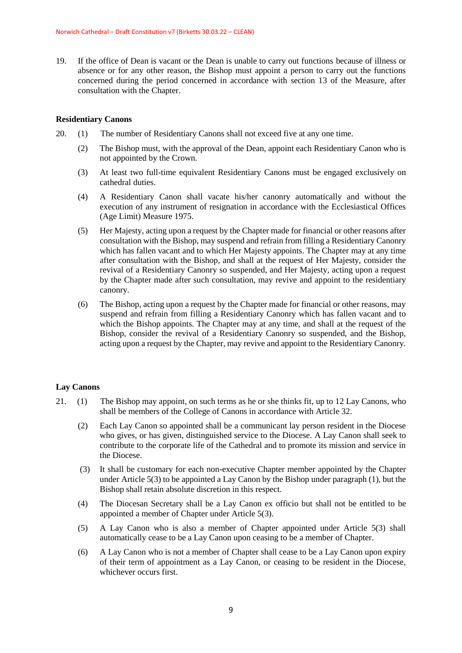19. If the office of Dean is vacant or the Dean is unable to carry out functions because of illness or absence or for any other reason, the Bishop must appoint a person to carry out the functions concerned during the period concerned in accordance with section 13 of the Measure, after consultation with the Chapter.

### **Residentiary Canons**

- 20. (1) The number of Residentiary Canons shall not exceed five at any one time.
	- (2) The Bishop must, with the approval of the Dean, appoint each Residentiary Canon who is not appointed by the Crown.
	- (3) At least two full-time equivalent Residentiary Canons must be engaged exclusively on cathedral duties.
	- (4) A Residentiary Canon shall vacate his/her canonry automatically and without the execution of any instrument of resignation in accordance with the Ecclesiastical Offices (Age Limit) Measure 1975.
	- (5) Her Majesty, acting upon a request by the Chapter made for financial or other reasons after consultation with the Bishop, may suspend and refrain from filling a Residentiary Canonry which has fallen vacant and to which Her Majesty appoints. The Chapter may at any time after consultation with the Bishop, and shall at the request of Her Majesty, consider the revival of a Residentiary Canonry so suspended, and Her Majesty, acting upon a request by the Chapter made after such consultation, may revive and appoint to the residentiary canonry.
	- (6) The Bishop, acting upon a request by the Chapter made for financial or other reasons, may suspend and refrain from filling a Residentiary Canonry which has fallen vacant and to which the Bishop appoints. The Chapter may at any time, and shall at the request of the Bishop, consider the revival of a Residentiary Canonry so suspended, and the Bishop, acting upon a request by the Chapter, may revive and appoint to the Residentiary Canonry.

# **Lay Canons**

- 21. (1) The Bishop may appoint, on such terms as he or she thinks fit, up to 12 Lay Canons, who shall be members of the College of Canons in accordance with Article 32.
	- (2) Each Lay Canon so appointed shall be a communicant lay person resident in the Diocese who gives, or has given, distinguished service to the Diocese. A Lay Canon shall seek to contribute to the corporate life of the Cathedral and to promote its mission and service in the Diocese.
	- (3) It shall be customary for each non-executive Chapter member appointed by the Chapter under Article 5(3) to be appointed a Lay Canon by the Bishop under paragraph (1), but the Bishop shall retain absolute discretion in this respect.
	- (4) The Diocesan Secretary shall be a Lay Canon ex officio but shall not be entitled to be appointed a member of Chapter under Article 5(3).
	- (5) A Lay Canon who is also a member of Chapter appointed under Article 5(3) shall automatically cease to be a Lay Canon upon ceasing to be a member of Chapter.
	- (6) A Lay Canon who is not a member of Chapter shall cease to be a Lay Canon upon expiry of their term of appointment as a Lay Canon, or ceasing to be resident in the Diocese, whichever occurs first.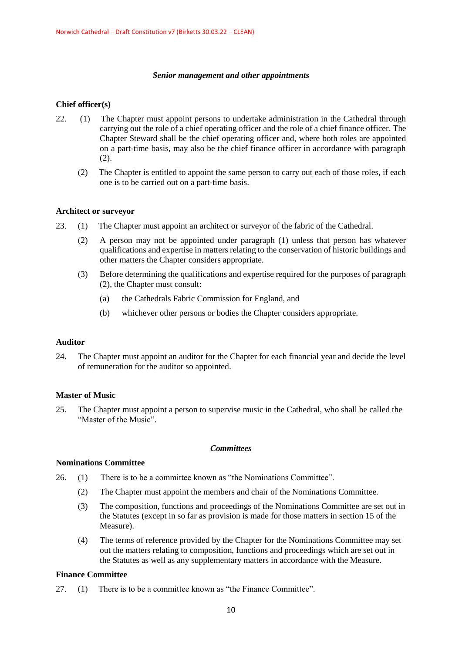### *Senior management and other appointments*

# **Chief officer(s)**

- 22. (1) The Chapter must appoint persons to undertake administration in the Cathedral through carrying out the role of a chief operating officer and the role of a chief finance officer. The Chapter Steward shall be the chief operating officer and, where both roles are appointed on a part-time basis, may also be the chief finance officer in accordance with paragraph (2).
	- (2) The Chapter is entitled to appoint the same person to carry out each of those roles, if each one is to be carried out on a part-time basis.

### **Architect or surveyor**

- 23. (1) The Chapter must appoint an architect or surveyor of the fabric of the Cathedral.
	- (2) A person may not be appointed under paragraph (1) unless that person has whatever qualifications and expertise in matters relating to the conservation of historic buildings and other matters the Chapter considers appropriate.
	- (3) Before determining the qualifications and expertise required for the purposes of paragraph (2), the Chapter must consult:
		- (a) the Cathedrals Fabric Commission for England, and
		- (b) whichever other persons or bodies the Chapter considers appropriate.

### **Auditor**

24. The Chapter must appoint an auditor for the Chapter for each financial year and decide the level of remuneration for the auditor so appointed.

### **Master of Music**

25. The Chapter must appoint a person to supervise music in the Cathedral, who shall be called the "Master of the Music".

### *Committees*

### **Nominations Committee**

- 26. (1) There is to be a committee known as "the Nominations Committee".
	- (2) The Chapter must appoint the members and chair of the Nominations Committee.
	- (3) The composition, functions and proceedings of the Nominations Committee are set out in the Statutes (except in so far as provision is made for those matters in section 15 of the Measure).
	- (4) The terms of reference provided by the Chapter for the Nominations Committee may set out the matters relating to composition, functions and proceedings which are set out in the Statutes as well as any supplementary matters in accordance with the Measure.

# **Finance Committee**

27. (1) There is to be a committee known as "the Finance Committee".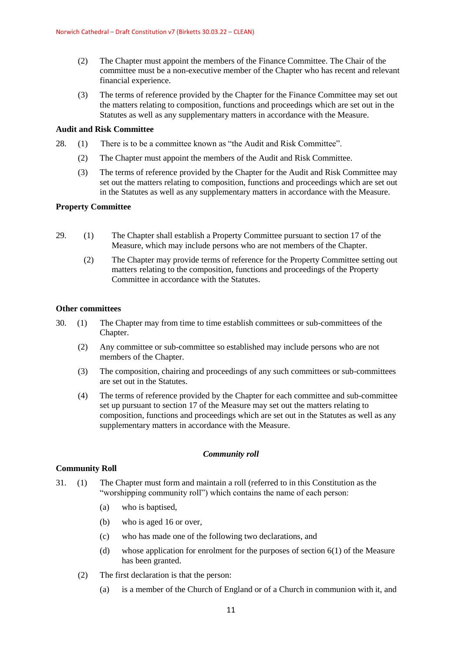- (2) The Chapter must appoint the members of the Finance Committee. The Chair of the committee must be a non-executive member of the Chapter who has recent and relevant financial experience.
- (3) The terms of reference provided by the Chapter for the Finance Committee may set out the matters relating to composition, functions and proceedings which are set out in the Statutes as well as any supplementary matters in accordance with the Measure.

# **Audit and Risk Committee**

- 28. (1) There is to be a committee known as "the Audit and Risk Committee".
	- (2) The Chapter must appoint the members of the Audit and Risk Committee.
	- (3) The terms of reference provided by the Chapter for the Audit and Risk Committee may set out the matters relating to composition, functions and proceedings which are set out in the Statutes as well as any supplementary matters in accordance with the Measure.

### **Property Committee**

- 29. (1) The Chapter shall establish a Property Committee pursuant to section 17 of the Measure, which may include persons who are not members of the Chapter.
	- (2) The Chapter may provide terms of reference for the Property Committee setting out matters relating to the composition, functions and proceedings of the Property Committee in accordance with the Statutes.

### **Other committees**

- 30. (1) The Chapter may from time to time establish committees or sub-committees of the Chapter.
	- (2) Any committee or sub-committee so established may include persons who are not members of the Chapter.
	- (3) The composition, chairing and proceedings of any such committees or sub-committees are set out in the Statutes.
	- (4) The terms of reference provided by the Chapter for each committee and sub-committee set up pursuant to section 17 of the Measure may set out the matters relating to composition, functions and proceedings which are set out in the Statutes as well as any supplementary matters in accordance with the Measure.

### *Community roll*

### **Community Roll**

- 31. (1) The Chapter must form and maintain a roll (referred to in this Constitution as the "worshipping community roll") which contains the name of each person:
	- (a) who is baptised,
	- (b) who is aged 16 or over,
	- (c) who has made one of the following two declarations, and
	- (d) whose application for enrolment for the purposes of section 6(1) of the Measure has been granted.
	- (2) The first declaration is that the person:
		- (a) is a member of the Church of England or of a Church in communion with it, and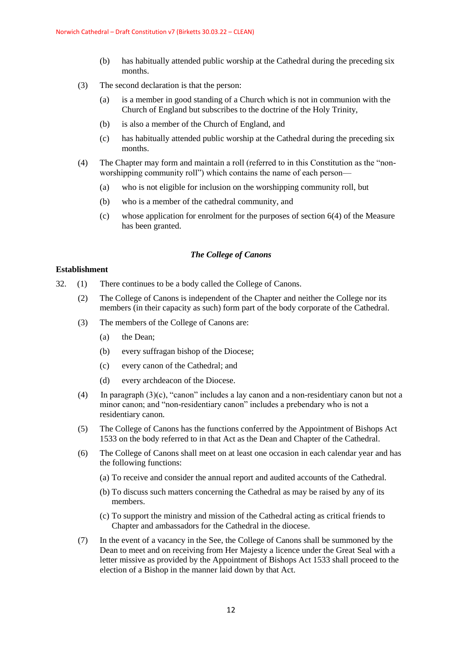- (b) has habitually attended public worship at the Cathedral during the preceding six months.
- (3) The second declaration is that the person:
	- (a) is a member in good standing of a Church which is not in communion with the Church of England but subscribes to the doctrine of the Holy Trinity,
	- (b) is also a member of the Church of England, and
	- (c) has habitually attended public worship at the Cathedral during the preceding six months.
- (4) The Chapter may form and maintain a roll (referred to in this Constitution as the "nonworshipping community roll") which contains the name of each person—
	- (a) who is not eligible for inclusion on the worshipping community roll, but
	- (b) who is a member of the cathedral community, and
	- (c) whose application for enrolment for the purposes of section 6(4) of the Measure has been granted.

### *The College of Canons*

# **Establishment**

- 32. (1) There continues to be a body called the College of Canons.
	- (2) The College of Canons is independent of the Chapter and neither the College nor its members (in their capacity as such) form part of the body corporate of the Cathedral.
	- (3) The members of the College of Canons are:
		- (a) the Dean;
		- (b) every suffragan bishop of the Diocese;
		- (c) every canon of the Cathedral; and
		- (d) every archdeacon of the Diocese.
	- (4) In paragraph  $(3)(c)$ , "canon" includes a lay canon and a non-residentiary canon but not a minor canon; and "non-residentiary canon" includes a prebendary who is not a residentiary canon.
	- (5) The College of Canons has the functions conferred by the Appointment of Bishops Act 1533 on the body referred to in that Act as the Dean and Chapter of the Cathedral.
	- (6) The College of Canons shall meet on at least one occasion in each calendar year and has the following functions:
		- (a) To receive and consider the annual report and audited accounts of the Cathedral.
		- (b) To discuss such matters concerning the Cathedral as may be raised by any of its members.
		- (c) To support the ministry and mission of the Cathedral acting as critical friends to Chapter and ambassadors for the Cathedral in the diocese.
	- (7) In the event of a vacancy in the See, the College of Canons shall be summoned by the Dean to meet and on receiving from Her Majesty a licence under the Great Seal with a letter missive as provided by the Appointment of Bishops Act 1533 shall proceed to the election of a Bishop in the manner laid down by that Act.